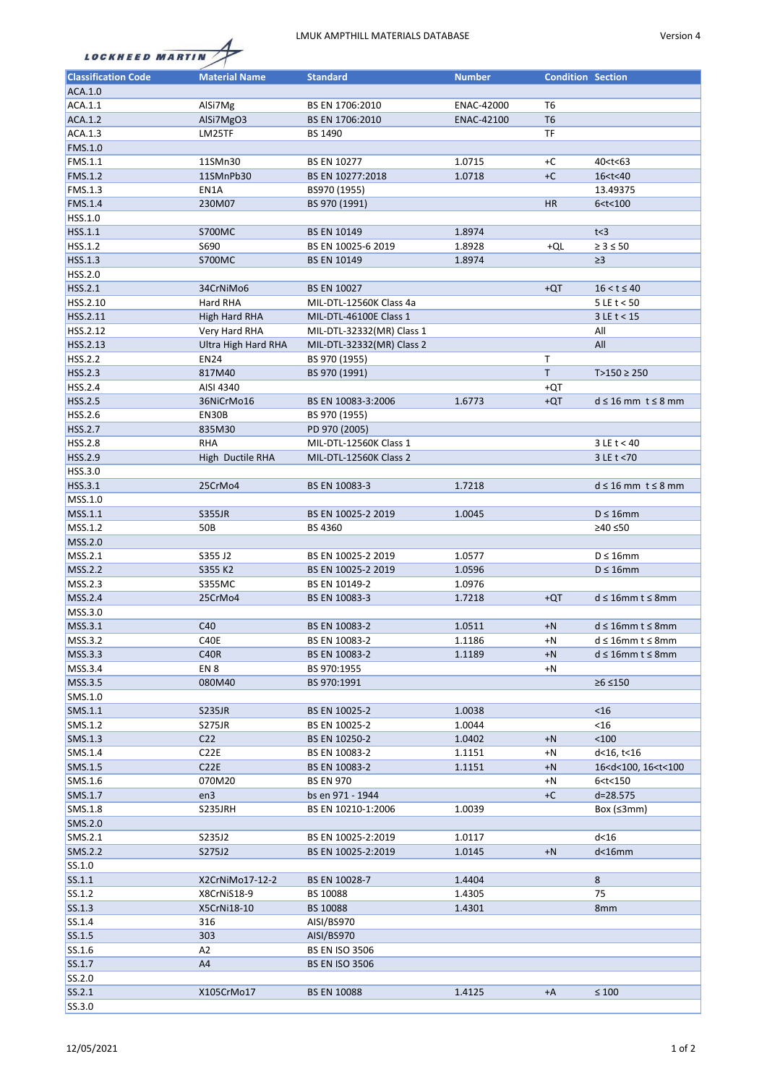## LMUK AMPTHILL MATERIALS DATABASE Version 4



| <b>LOCKHEED MARTIN</b> |  |
|------------------------|--|

| <b>Classification Code</b> | <b>Material Name</b> | <b>Standard</b>           | <b>Number</b> | <b>Condition Section</b> |                                         |
|----------------------------|----------------------|---------------------------|---------------|--------------------------|-----------------------------------------|
| ACA.1.0                    |                      |                           |               |                          |                                         |
| ACA.1.1                    | AlSi7Mg              | BS EN 1706:2010           | ENAC-42000    | T6                       |                                         |
| ACA.1.2                    | AlSi7MgO3            | BS EN 1706:2010           | ENAC-42100    | T <sub>6</sub>           |                                         |
| ACA.1.3                    |                      |                           |               | TF                       |                                         |
|                            | LM25TF               | BS 1490                   |               |                          |                                         |
| FMS.1.0                    |                      |                           |               |                          |                                         |
| FMS.1.1                    | 11SMn30              | <b>BS EN 10277</b>        | 1.0715        | $+C$                     | 40 <t<63< td=""></t<63<>                |
| <b>FMS.1.2</b>             | 11SMnPb30            | BS EN 10277:2018          | 1.0718        | $+C$                     | 16 <t<40< td=""></t<40<>                |
| FMS.1.3                    | EN1A                 | BS970 (1955)              |               |                          | 13.49375                                |
| FMS.1.4                    | 230M07               | BS 970 (1991)             |               | <b>HR</b>                | 6 < t < 100                             |
| HSS.1.0                    |                      |                           |               |                          |                                         |
| HSS.1.1                    | <b>S700MC</b>        | <b>BS EN 10149</b>        | 1.8974        |                          | t<3                                     |
| HSS.1.2                    | S690                 | BS EN 10025-6 2019        | 1.8928        | +QL                      | $\geq 3 \leq 50$                        |
| HSS.1.3                    | <b>S700MC</b>        | <b>BS EN 10149</b>        | 1.8974        |                          | $\geq$ 3                                |
| HSS.2.0                    |                      |                           |               |                          |                                         |
| HSS.2.1                    | 34CrNiMo6            | <b>BS EN 10027</b>        |               | $+QT$                    | $16 < t \le 40$                         |
| HSS.2.10                   | Hard RHA             | MIL-DTL-12560K Class 4a   |               |                          | $5 \, \text{LE}$ t < 50                 |
| HSS.2.11                   | High Hard RHA        | MIL-DTL-46100E Class 1    |               |                          | $3 \text{ LE}$ t < 15                   |
| HSS.2.12                   | Very Hard RHA        | MIL-DTL-32332(MR) Class 1 |               |                          | All                                     |
| HSS.2.13                   | Ultra High Hard RHA  | MIL-DTL-32332(MR) Class 2 |               |                          | All                                     |
|                            |                      |                           |               |                          |                                         |
| <b>HSS.2.2</b>             | <b>EN24</b>          | BS 970 (1955)             |               | Τ                        |                                         |
| <b>HSS.2.3</b>             | 817M40               | BS 970 (1991)             |               | $\mathsf T$              | $T>150 \ge 250$                         |
| <b>HSS.2.4</b>             | AISI 4340            |                           |               | $+QT$                    |                                         |
| <b>HSS.2.5</b>             | 36NiCrMo16           | BS EN 10083-3:2006        | 1.6773        | $+QT$                    | $d \leq 16$ mm $t \leq 8$ mm            |
| HSS.2.6                    | EN30B                | BS 970 (1955)             |               |                          |                                         |
| <b>HSS.2.7</b>             | 835M30               | PD 970 (2005)             |               |                          |                                         |
| <b>HSS.2.8</b>             | <b>RHA</b>           | MIL-DTL-12560K Class 1    |               |                          | $3LE$ t < 40                            |
| HSS.2.9                    | High Ductile RHA     | MIL-DTL-12560K Class 2    |               |                          | 3 LE t < 70                             |
| HSS.3.0                    |                      |                           |               |                          |                                         |
| HSS.3.1                    | 25CrMo4              | BS EN 10083-3             | 1.7218        |                          | $d \leq 16$ mm $t \leq 8$ mm            |
| MSS.1.0                    |                      |                           |               |                          |                                         |
| MSS.1.1                    | <b>S355JR</b>        | BS EN 10025-2 2019        | 1.0045        |                          | $D \leq 16$ mm                          |
| MSS.1.2                    | 50B                  | BS 4360                   |               |                          | ≥40 ≤50                                 |
| MSS.2.0                    |                      |                           |               |                          |                                         |
| MSS.2.1                    | S355 J2              | BS EN 10025-2 2019        | 1.0577        |                          | $D \leq 16$ mm                          |
| <b>MSS.2.2</b>             |                      |                           |               |                          | $D \leq 16$ mm                          |
|                            | S355 K2              | BS EN 10025-2 2019        | 1.0596        |                          |                                         |
| MSS.2.3                    | <b>S355MC</b>        | BS EN 10149-2             | 1.0976        |                          |                                         |
| MSS.2.4                    | 25CrMo4              | BS EN 10083-3             | 1.7218        | $+QT$                    | $d \leq 16$ mm t $\leq 8$ mm            |
| MSS.3.0                    |                      |                           |               |                          |                                         |
| MSS.3.1                    | C40                  | BS EN 10083-2             | 1.0511        | $+N$                     | $d \leq 16$ mm t $\leq 8$ mm            |
| MSS.3.2                    | C40E                 | BS EN 10083-2             | 1.1186        | +N                       | $d \leq 16$ mm t $\leq 8$ mm            |
| MSS.3.3                    | C40R                 | BS EN 10083-2             | 1.1189        | $+N$                     | $d \leq 16$ mm t $\leq 8$ mm            |
| MSS.3.4                    | EN 8                 | BS 970:1955               |               | $+N$                     |                                         |
| MSS.3.5                    | 080M40               | BS 970:1991               |               |                          | $≥6 ≤ 150$                              |
| SMS.1.0                    |                      |                           |               |                          |                                         |
| SMS.1.1                    | <b>S235JR</b>        | BS EN 10025-2             | 1.0038        |                          | $<$ 16                                  |
| SMS.1.2                    | <b>S275JR</b>        | BS EN 10025-2             | 1.0044        |                          | $<$ 16                                  |
| SMS.1.3                    | C <sub>22</sub>      | BS EN 10250-2             | 1.0402        | $+N$                     | $<100$                                  |
| SMS.1.4                    | C <sub>2</sub> 2E    | BS EN 10083-2             | 1.1151        | +N                       | d<16, t<16                              |
| SMS.1.5                    | C22E                 | BS EN 10083-2             | 1.1151        | $+N$                     | 16 <d<100, 16<t<100<="" td=""></d<100,> |
| SMS.1.6                    | 070M20               | <b>BS EN 970</b>          |               | $+N$                     | 6 <t<150< td=""></t<150<>               |
| SMS.1.7                    | en3                  | bs en 971 - 1944          |               | $+C$                     | $d = 28.575$                            |
| SMS.1.8                    |                      |                           |               |                          |                                         |
|                            | S235JRH              | BS EN 10210-1:2006        | 1.0039        |                          | Box ( $\leq 3$ mm)                      |
| SMS.2.0                    |                      |                           |               |                          |                                         |
| SMS.2.1                    | S235J2               | BS EN 10025-2:2019        | 1.0117        |                          | $d<$ 16                                 |
| <b>SMS.2.2</b>             | S275J2               | BS EN 10025-2:2019        | 1.0145        | $+N$                     | $d<$ 16 $mm$                            |
| SS.1.0                     |                      |                           |               |                          |                                         |
| SS.1.1                     | X2CrNiMo17-12-2      | BS EN 10028-7             | 1.4404        |                          | 8                                       |
| SS.1.2                     | X8CrNiS18-9          | BS 10088                  | 1.4305        |                          | 75                                      |
| SS.1.3                     | X5CrNi18-10          | BS 10088                  | 1.4301        |                          | 8 <sub>mm</sub>                         |
| SS.1.4                     | 316                  | AISI/BS970                |               |                          |                                         |
| SS.1.5                     | 303                  | AISI/BS970                |               |                          |                                         |
| SS.1.6                     | A2                   | <b>BS EN ISO 3506</b>     |               |                          |                                         |
| SS.1.7                     | A4                   | <b>BS EN ISO 3506</b>     |               |                          |                                         |
| SS.2.0                     |                      |                           |               |                          |                                         |
| SS.2.1                     | X105CrMo17           | <b>BS EN 10088</b>        | 1.4125        | +A                       | $\leq 100$                              |
| SS.3.0                     |                      |                           |               |                          |                                         |
|                            |                      |                           |               |                          |                                         |